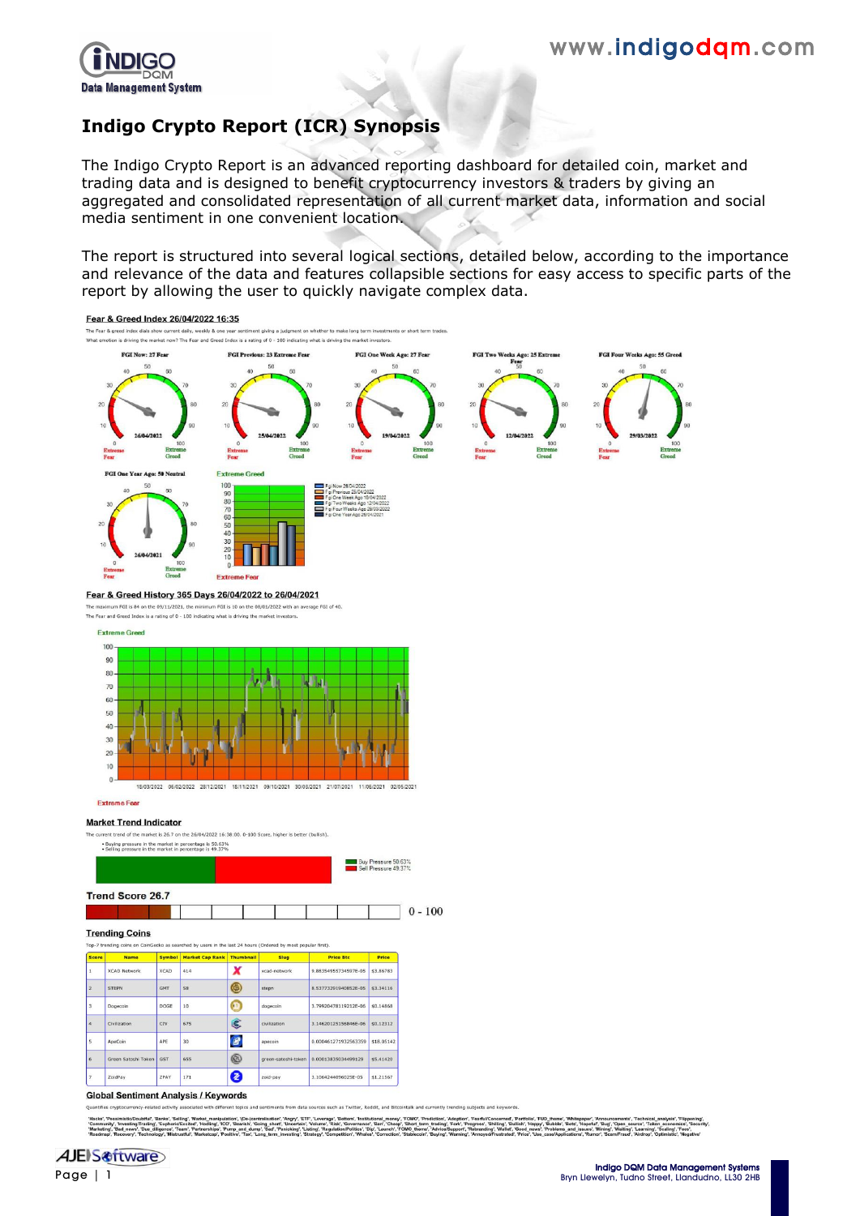

# **Indigo Crypto Report (ICR) Synopsis**

The Indigo Crypto Report is an advanced reporting dashboard for detailed coin, market and trading data and is designed to benefit cryptocurrency investors & traders by giving an aggregated and consolidated representation of all current market data, information and social media sentiment in one convenient location.

The report is structured into several logical sections, detailed below, according to the importance and relevance of the data and features collapsible sections for easy access to specific parts of the report by allowing the user to quickly navigate complex data.



**Trend Score 26.7** 

#### **Trending Coins**

.<br>Ko as searched by users in the last 24 hours (Ordered by most popular first)

| <b>Score</b>            | <b>Name</b>         | <b>Symbol</b> | <b>Market Cap Rank</b> | <b>Thumbnail</b>    | <b>Slug</b>         | <b>Price Btc</b>     | Price      |
|-------------------------|---------------------|---------------|------------------------|---------------------|---------------------|----------------------|------------|
| $\mathbf{1}$            | <b>XCAD Network</b> | <b>XCAD</b>   | 414                    | x                   | xcad-network        | 9.88354955734597E-05 | \$3.86783  |
| $\overline{2}$          | <b>STEPN</b>        | <b>GMT</b>    | 58                     | ⊜                   | stepp               | 8.53773291940852E-05 | \$3,34116  |
| $\overline{\mathbf{3}}$ | Dogecoin            | DOGE          | 10                     | Ω                   | dogecoin.           | 3.79920478119212E-06 | \$0.14868  |
| 4                       | Civilization        | CIV           | 675                    | Ĉ                   | civilization        | 3.14620125156846E-06 | \$0,12312  |
| $\overline{\mathbf{s}}$ | ApeCoin             | APF           | 30                     | $\pmb{\mathcal{B}}$ | apecoin             | 0.000461271932563359 | \$18,05142 |
| 6                       | Green Satoshi Token | <b>GST</b>    | 655                    | ©                   | green-satoshi-token | 0.00013835034499129  | \$5,41420  |
| $\overline{z}$          | ZoidPay             | ZPAY          | 171                    | 2                   | zoid-pay            | 3.1064244096025E-05  | \$1.21567  |

**Global Sentiment Analysis / Keywords** 

tralisation", "Angry", "ETF", "Let<br>ping\_short", "Uncertain", "Volum<br>p", "Sad", "Panicking", "Listing",<br>png\_term\_investing", "Strategy

 $0 - 100$ 

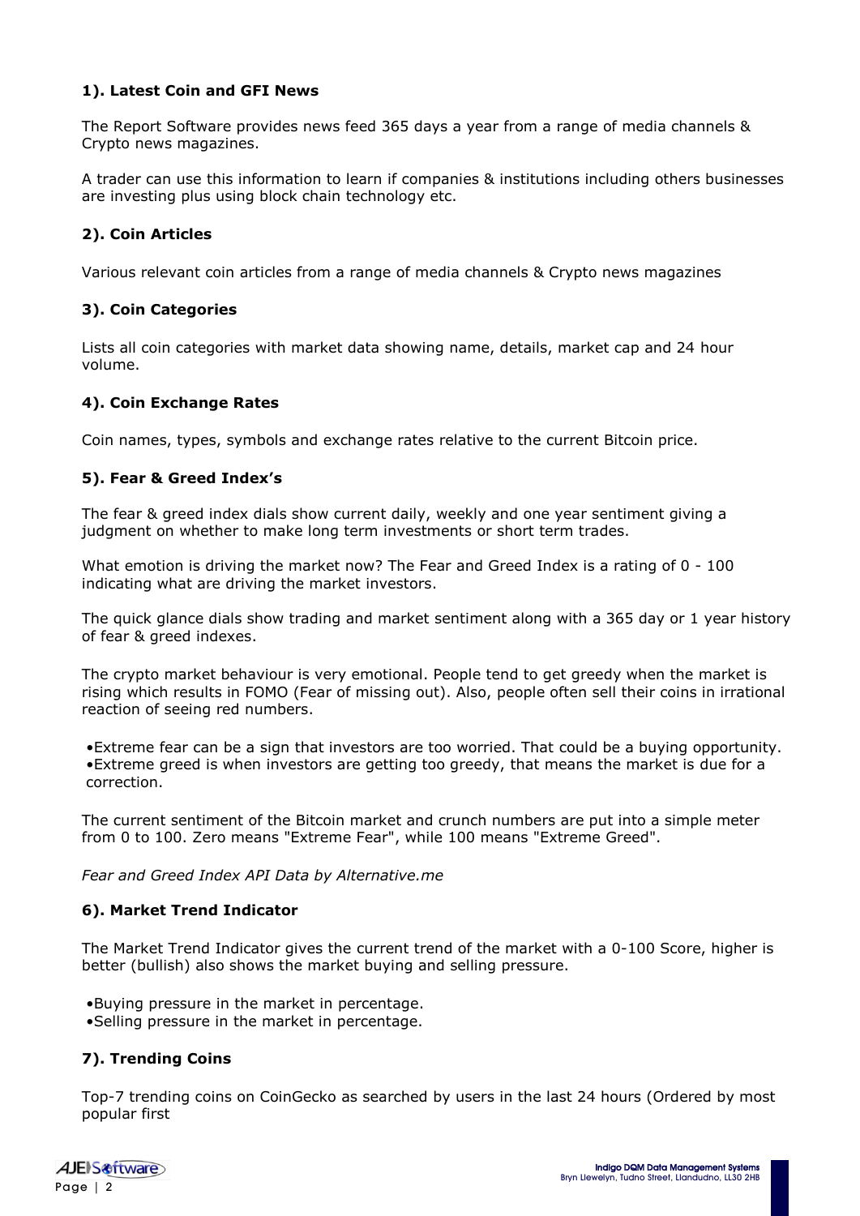### **1). Latest Coin and GFI News**

The Report Software provides news feed 365 days a year from a range of media channels & Crypto news magazines.

A trader can use this information to learn if companies & institutions including others businesses are investing plus using block chain technology etc.

### **2). Coin Articles**

Various relevant coin articles from a range of media channels & Crypto news magazines

### **3). Coin Categories**

Lists all coin categories with market data showing name, details, market cap and 24 hour volume.

### **4). Coin Exchange Rates**

Coin names, types, symbols and exchange rates relative to the current Bitcoin price.

### **5). Fear & Greed Index's**

The fear & greed index dials show current daily, weekly and one year sentiment giving a judgment on whether to make long term investments or short term trades.

What emotion is driving the market now? The Fear and Greed Index is a rating of 0 - 100 indicating what are driving the market investors.

The quick glance dials show trading and market sentiment along with a 365 day or 1 year history of fear & greed indexes.

The crypto market behaviour is very emotional. People tend to get greedy when the market is rising which results in FOMO (Fear of missing out). Also, people often sell their coins in irrational reaction of seeing red numbers.

•Extreme fear can be a sign that investors are too worried. That could be a buying opportunity. •Extreme greed is when investors are getting too greedy, that means the market is due for a correction.

The current sentiment of the Bitcoin market and crunch numbers are put into a simple meter from 0 to 100. Zero means "Extreme Fear", while 100 means "Extreme Greed".

*Fear and Greed Index API Data by Alternative.me*

#### **6). Market Trend Indicator**

The Market Trend Indicator gives the current trend of the market with a 0-100 Score, higher is better (bullish) also shows the market buying and selling pressure.

•Buying pressure in the market in percentage. •Selling pressure in the market in percentage.

### **7). Trending Coins**

Top-7 trending coins on CoinGecko as searched by users in the last 24 hours (Ordered by most popular first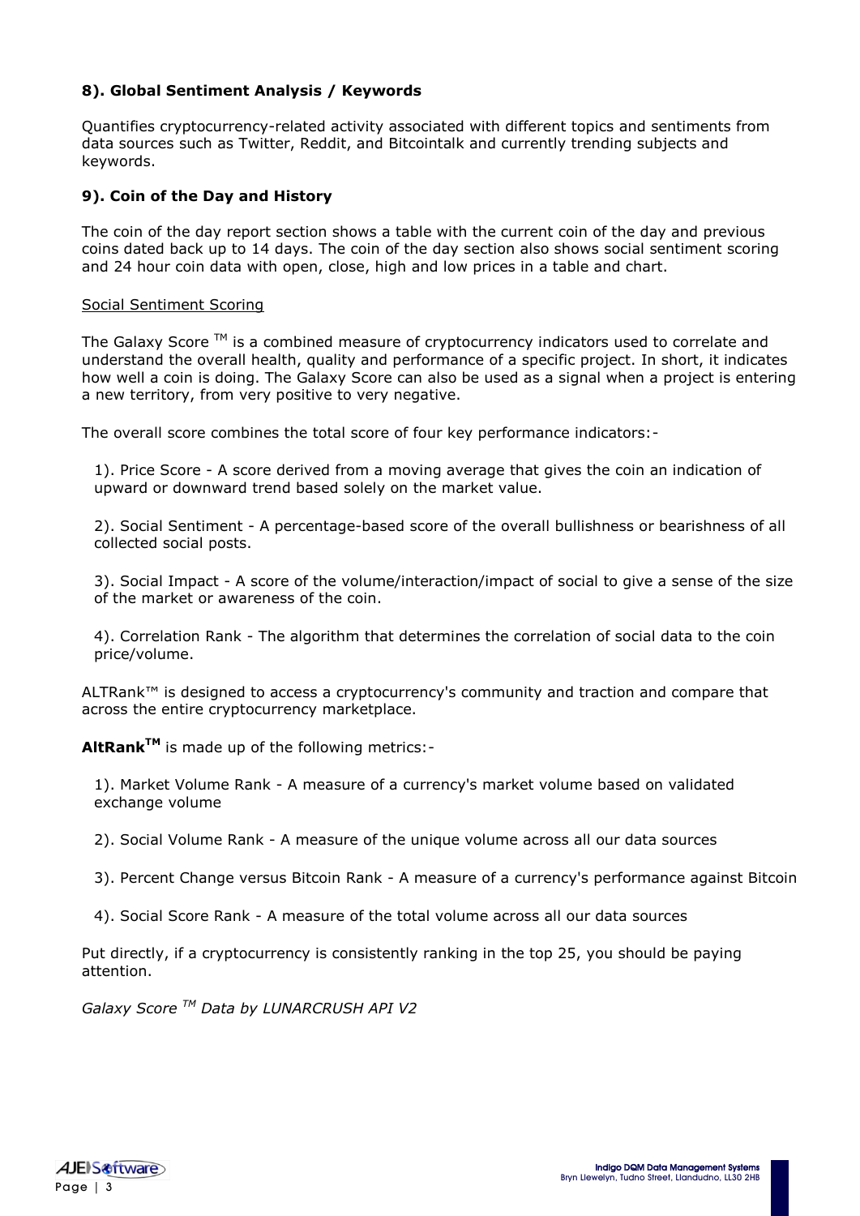### **8). Global Sentiment Analysis / Keywords**

Quantifies cryptocurrency-related activity associated with different topics and sentiments from data sources such as Twitter, Reddit, and Bitcointalk and currently trending subjects and keywords.

### **9). Coin of the Day and History**

The coin of the day report section shows a table with the current coin of the day and previous coins dated back up to 14 days. The coin of the day section also shows social sentiment scoring and 24 hour coin data with open, close, high and low prices in a table and chart.

### Social Sentiment Scoring

The Galaxy Score ™ is a combined measure of cryptocurrency indicators used to correlate and understand the overall health, quality and performance of a specific project. In short, it indicates how well a coin is doing. The Galaxy Score can also be used as a signal when a project is entering a new territory, from very positive to very negative.

The overall score combines the total score of four key performance indicators:-

1). Price Score - A score derived from a moving average that gives the coin an indication of upward or downward trend based solely on the market value.

2). Social Sentiment - A percentage-based score of the overall bullishness or bearishness of all collected social posts.

3). Social Impact - A score of the volume/interaction/impact of social to give a sense of the size of the market or awareness of the coin.

4). Correlation Rank - The algorithm that determines the correlation of social data to the coin price/volume.

ALTRank™ is designed to access a cryptocurrency's community and traction and compare that across the entire cryptocurrency marketplace.

**AltRankTM** is made up of the following metrics:-

1). Market Volume Rank - A measure of a currency's market volume based on validated exchange volume

2). Social Volume Rank - A measure of the unique volume across all our data sources

- 3). Percent Change versus Bitcoin Rank A measure of a currency's performance against Bitcoin
- 4). Social Score Rank A measure of the total volume across all our data sources

Put directly, if a cryptocurrency is consistently ranking in the top 25, you should be paying attention.

*Galaxy Score TM Data by LUNARCRUSH API V2*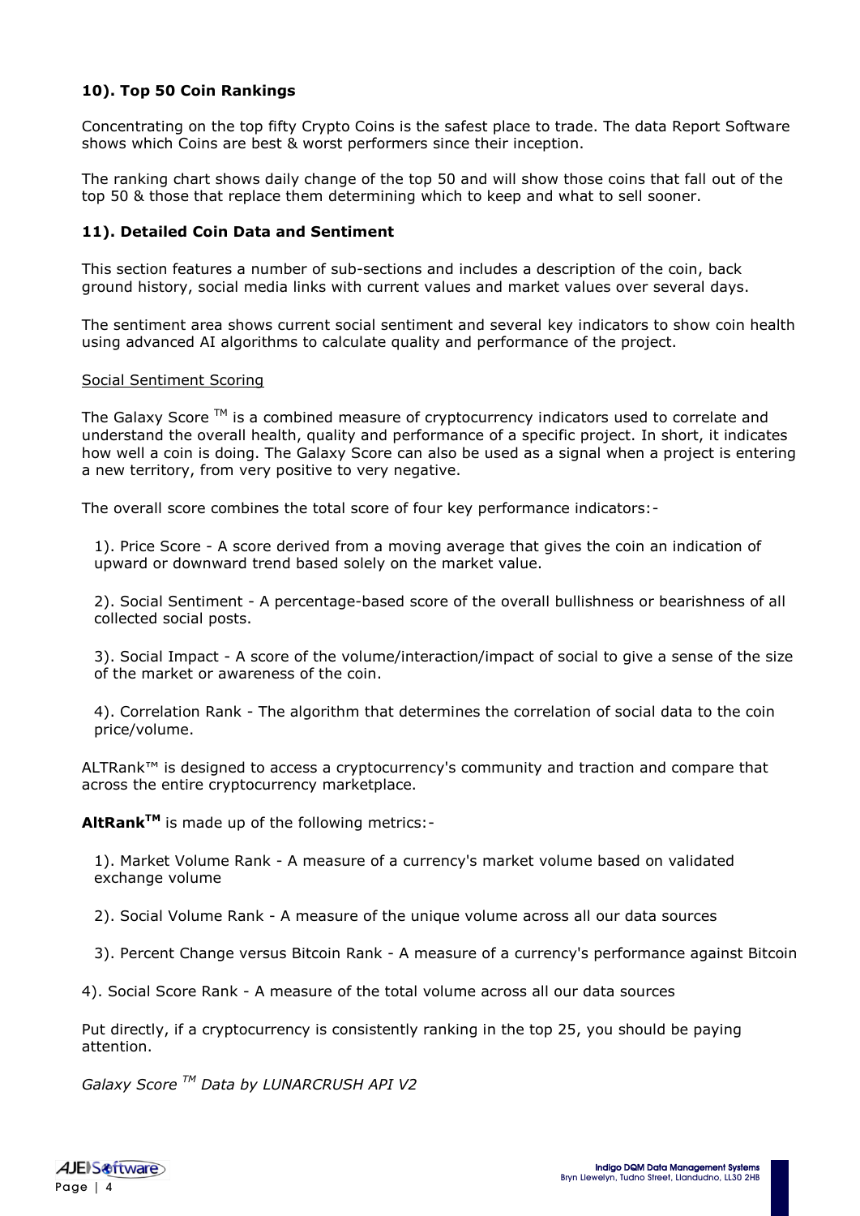## **10). Top 50 Coin Rankings**

Concentrating on the top fifty Crypto Coins is the safest place to trade. The data Report Software shows which Coins are best & worst performers since their inception.

The ranking chart shows daily change of the top 50 and will show those coins that fall out of the top 50 & those that replace them determining which to keep and what to sell sooner.

#### **11). Detailed Coin Data and Sentiment**

This section features a number of sub-sections and includes a description of the coin, back ground history, social media links with current values and market values over several days.

The sentiment area shows current social sentiment and several key indicators to show coin health using advanced AI algorithms to calculate quality and performance of the project.

#### Social Sentiment Scoring

The Galaxy Score  $TM$  is a combined measure of cryptocurrency indicators used to correlate and understand the overall health, quality and performance of a specific project. In short, it indicates how well a coin is doing. The Galaxy Score can also be used as a signal when a project is entering a new territory, from very positive to very negative.

The overall score combines the total score of four key performance indicators:-

1). Price Score - A score derived from a moving average that gives the coin an indication of upward or downward trend based solely on the market value.

2). Social Sentiment - A percentage-based score of the overall bullishness or bearishness of all collected social posts.

3). Social Impact - A score of the volume/interaction/impact of social to give a sense of the size of the market or awareness of the coin.

4). Correlation Rank - The algorithm that determines the correlation of social data to the coin price/volume.

ALTRank™ is designed to access a cryptocurrency's community and traction and compare that across the entire cryptocurrency marketplace.

**AltRankTM** is made up of the following metrics:-

1). Market Volume Rank - A measure of a currency's market volume based on validated exchange volume

2). Social Volume Rank - A measure of the unique volume across all our data sources

3). Percent Change versus Bitcoin Rank - A measure of a currency's performance against Bitcoin

4). Social Score Rank - A measure of the total volume across all our data sources

Put directly, if a cryptocurrency is consistently ranking in the top 25, you should be paying attention.

*Galaxy Score TM Data by LUNARCRUSH API V2*